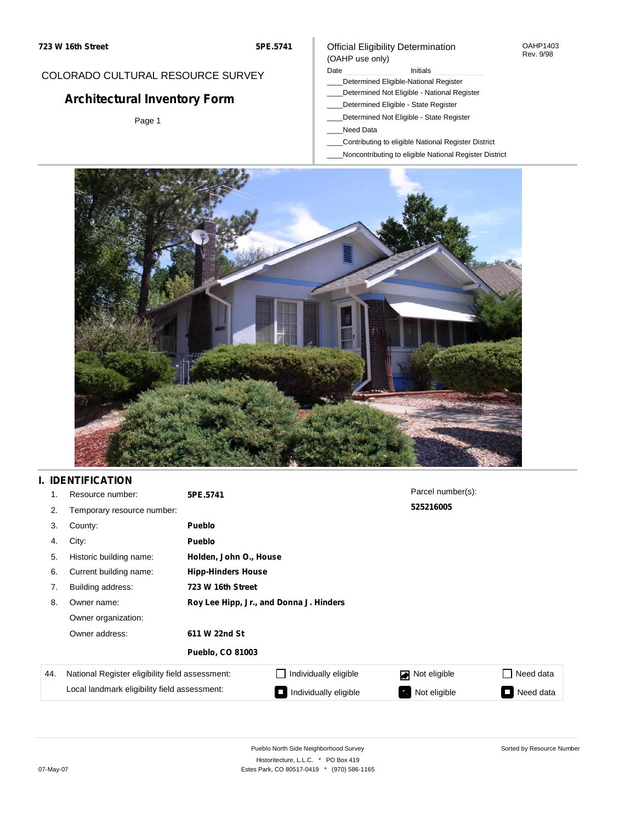### COLORADO CULTURAL RESOURCE SURVEY

# **Architectural Inventory Form**

Page 1

### Official Eligibility Determination (OAHP use only)

#### Date **Initials** Initials

- \_\_\_\_Determined Eligible-National Register
- \_\_\_\_Determined Not Eligible National Register
- \_\_\_\_Determined Eligible State Register
- \_\_\_\_Determined Not Eligible State Register
- \_\_\_\_Need Data
- \_\_\_\_Contributing to eligible National Register District
- \_\_\_\_Noncontributing to eligible National Register District



## **I. IDENTIFICATION**

| 1.  | Resource number:                                | 5PE.5741                                |                            | Parcel number(s): |                     |  |  |  |
|-----|-------------------------------------------------|-----------------------------------------|----------------------------|-------------------|---------------------|--|--|--|
| 2.  | Temporary resource number:                      |                                         |                            | 525216005         |                     |  |  |  |
| 3.  | County:                                         | <b>Pueblo</b>                           |                            |                   |                     |  |  |  |
| 4.  | City:                                           | <b>Pueblo</b>                           |                            |                   |                     |  |  |  |
| 5.  | Historic building name:                         |                                         | Holden, John O., House     |                   |                     |  |  |  |
| 6.  | Current building name:                          |                                         | <b>Hipp-Hinders House</b>  |                   |                     |  |  |  |
| 7.  | Building address:                               | 723 W 16th Street                       |                            |                   |                     |  |  |  |
| 8.  | Owner name:                                     | Roy Lee Hipp, Jr., and Donna J. Hinders |                            |                   |                     |  |  |  |
|     | Owner organization:                             |                                         |                            |                   |                     |  |  |  |
|     | Owner address:                                  | 611 W 22nd St                           |                            |                   |                     |  |  |  |
|     |                                                 | <b>Pueblo, CO 81003</b>                 |                            |                   |                     |  |  |  |
| 44. | National Register eligibility field assessment: |                                         | Individually eligible      | Not eligible      | □ Need data         |  |  |  |
|     | Local landmark eligibility field assessment:    |                                         | Individually eligible<br>Œ | Not eligible<br>ъ | Need data<br>$\Box$ |  |  |  |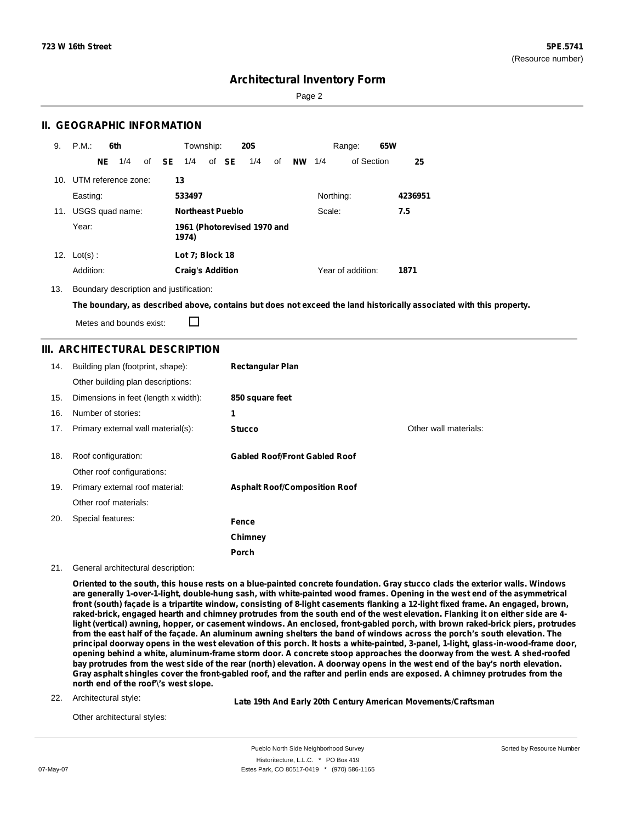Sorted by Resource Number

## **Architectural Inventory Form**

Page 2

### **II. GEOGRAPHIC INFORMATION**

| 9.  | P.M.                    | 6th |                 |  | Township:    |                                      | <b>20S</b> |       | Range: |    | 65W      |           |                   |  |         |
|-----|-------------------------|-----|-----------------|--|--------------|--------------------------------------|------------|-------|--------|----|----------|-----------|-------------------|--|---------|
|     |                         | NE. | 1/4             |  | of <b>SE</b> | 1/4                                  |            | of SE | 1/4    | of | NW $1/4$ |           | of Section        |  | 25      |
|     | 10. UTM reference zone: |     |                 |  |              | 13                                   |            |       |        |    |          |           |                   |  |         |
|     | Easting:                |     |                 |  |              | 533497                               |            |       |        |    |          | Northing: |                   |  | 4236951 |
| 11. |                         |     | USGS quad name: |  |              | <b>Northeast Pueblo</b>              |            |       |        |    |          | Scale:    |                   |  | 7.5     |
|     | Year:                   |     |                 |  |              | 1961 (Photorevised 1970 and<br>1974) |            |       |        |    |          |           |                   |  |         |
| 12. | $Lot(s)$ :              |     |                 |  |              | Lot 7; Block 18                      |            |       |        |    |          |           |                   |  |         |
|     | Addition:               |     |                 |  |              | <b>Craig's Addition</b>              |            |       |        |    |          |           | Year of addition: |  | 1871    |

13. Boundary description and justification:

The boundary, as described above, contains but does not exceed the land historically associated with this property.

Metes and bounds exist:

П

### **III. ARCHITECTURAL DESCRIPTION**

| 14. | Building plan (footprint, shape):<br>Other building plan descriptions: | <b>Rectangular Plan</b>              |                       |
|-----|------------------------------------------------------------------------|--------------------------------------|-----------------------|
| 15. | Dimensions in feet (length x width):                                   | 850 square feet                      |                       |
| 16. | Number of stories:                                                     | 1                                    |                       |
| 17. | Primary external wall material(s):                                     | <b>Stucco</b>                        | Other wall materials: |
|     |                                                                        |                                      |                       |
| 18. | Roof configuration:                                                    | <b>Gabled Roof/Front Gabled Roof</b> |                       |
|     | Other roof configurations:                                             |                                      |                       |
| 19. | Primary external roof material:                                        | <b>Asphalt Roof/Composition Roof</b> |                       |
|     | Other roof materials:                                                  |                                      |                       |
| 20. | Special features:                                                      | <b>Fence</b>                         |                       |
|     |                                                                        | Chimney                              |                       |
|     |                                                                        | Porch                                |                       |

21. General architectural description:

Oriented to the south, this house rests on a blue-painted concrete foundation. Gray stucco clads the exterior walls. Windows are generally 1-over-1-light, double-hung sash, with white-painted wood frames. Opening in the west end of the asymmetrical front (south) facade is a tripartite window, consisting of 8-light casements flanking a 12-light fixed frame. An engaged, brown, raked-brick, engaged hearth and chimney protrudes from the south end of the west elevation. Flanking it on either side are 4light (vertical) awning, hopper, or casement windows. An enclosed, front-gabled porch, with brown raked-brick piers, protrudes from the east half of the façade. An aluminum awning shelters the band of windows across the porch's south elevation. The principal doorway opens in the west elevation of this porch. It hosts a white-painted, 3-panel, 1-light, glass-in-wood-frame door, opening behind a white, aluminum-frame storm door. A concrete stoop approaches the doorway from the west. A shed-roofed bay protrudes from the west side of the rear (north) elevation. A doorway opens in the west end of the bay's north elevation. Gray asphalt shingles cover the front-gabled roof, and the rafter and perlin ends are exposed. A chimney protrudes from the **north end of the roof'\'s west slope.**

22. Architectural style:

**Late 19th And Early 20th Century American Movements/Craftsman**

Other architectural styles: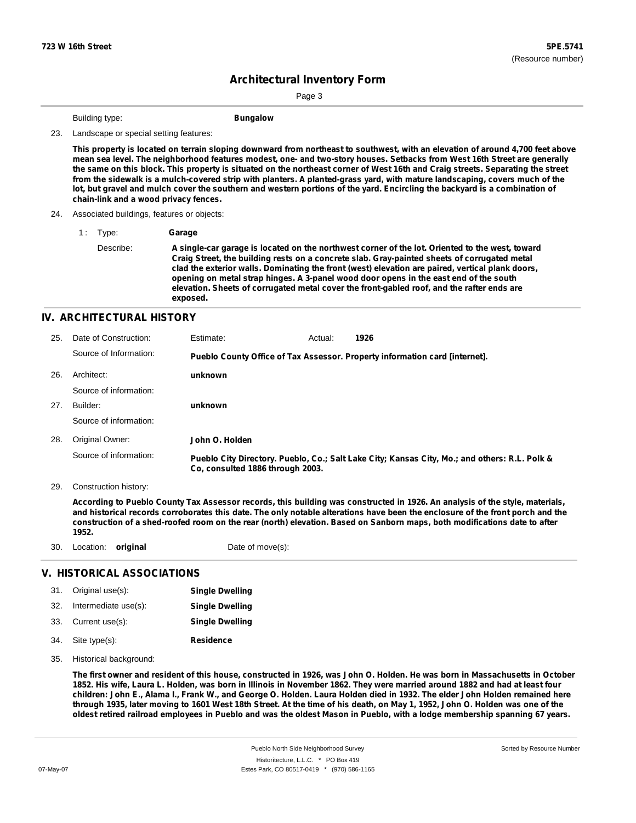Page 3

Building type: **Bungalow**

#### 23. Landscape or special setting features:

This property is located on terrain sloping downward from northeast to southwest, with an elevation of around 4,700 feet above mean sea level. The neighborhood features modest, one- and two-story houses. Setbacks from West 16th Street are generally the same on this block. This property is situated on the northeast corner of West 16th and Craig streets. Separating the street from the sidewalk is a mulch-covered strip with planters. A planted-grass yard, with mature landscaping, covers much of the lot, but gravel and mulch cover the southern and western portions of the yard. Encircling the backyard is a combination of **chain-link and a wood privacy fences.**

#### 24. Associated buildings, features or objects:

1 : Type: **Garage**

Describe: **A single-car garage is located on the northwest corner of the lot. Oriented to the west, toward Craig Street, the building rests on a concrete slab. Gray-painted sheets of corrugated metal clad the exterior walls. Dominating the front (west) elevation are paired, vertical plank doors, opening on metal strap hinges. A 3-panel wood door opens in the east end of the south elevation. Sheets of corrugated metal cover the front-gabled roof, and the rafter ends are exposed.**

#### **IV. ARCHITECTURAL HISTORY**

| 25. | Date of Construction:  | Estimate:                        | Actual: | 1926                                                                                          |
|-----|------------------------|----------------------------------|---------|-----------------------------------------------------------------------------------------------|
|     | Source of Information: |                                  |         | Pueblo County Office of Tax Assessor. Property information card [internet].                   |
| 26. | Architect:             | unknown                          |         |                                                                                               |
|     | Source of information: |                                  |         |                                                                                               |
| 27. | Builder:               | unknown                          |         |                                                                                               |
|     | Source of information: |                                  |         |                                                                                               |
| 28. | Original Owner:        | John O. Holden                   |         |                                                                                               |
|     | Source of information: | Co. consulted 1886 through 2003. |         | Pueblo City Directory. Pueblo, Co.; Salt Lake City; Kansas City, Mo.; and others: R.L. Polk & |

29. Construction history:

According to Pueblo County Tax Assessor records, this building was constructed in 1926. An analysis of the style, materials, and historical records corroborates this date. The only notable alterations have been the enclosure of the front porch and the construction of a shed-roofed room on the rear (north) elevation. Based on Sanborn maps, both modifications date to after **1952.**

30. Location: **original** Date of move(s):

### **V. HISTORICAL ASSOCIATIONS**

|     | 31. Original use(s):     | <b>Single Dwelling</b> |
|-----|--------------------------|------------------------|
|     | 32. Intermediate use(s): | <b>Single Dwelling</b> |
|     | 33. Current use(s):      | <b>Single Dwelling</b> |
| 34. | Site type(s):            | <b>Residence</b>       |

35. Historical background:

The first owner and resident of this house, constructed in 1926, was John O. Holden. He was born in Massachusetts in October 1852. His wife, Laura L. Holden, was born in Illinois in November 1862. They were married around 1882 and had at least four children: John E., Alama I., Frank W., and George O. Holden. Laura Holden died in 1932. The elder John Holden remained here through 1935, later moving to 1601 West 18th Street. At the time of his death, on May 1, 1952, John O. Holden was one of the oldest retired railroad employees in Pueblo and was the oldest Mason in Pueblo, with a lodge membership spanning 67 years.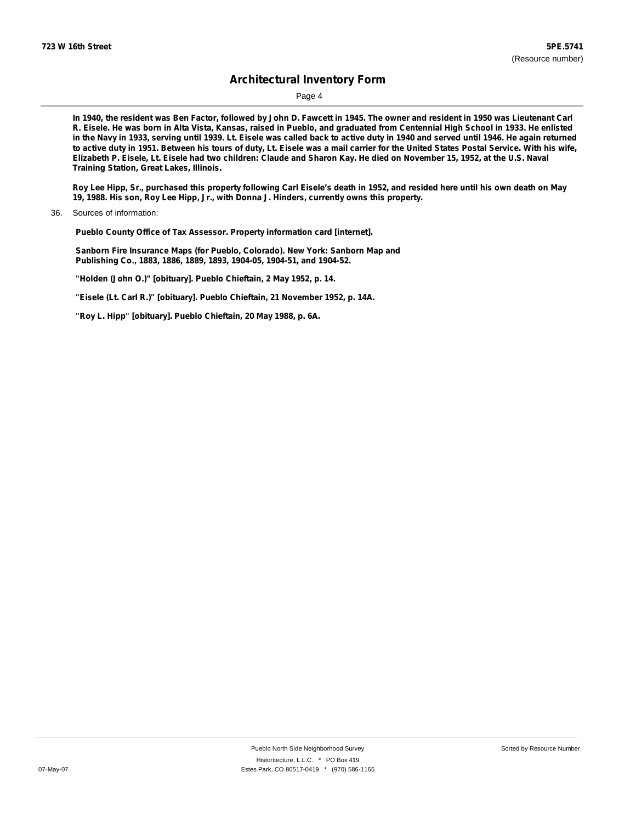Page 4

In 1940, the resident was Ben Factor, followed by John D. Fawcett in 1945. The owner and resident in 1950 was Lieutenant Carl R. Eisele. He was born in Alta Vista, Kansas, raised in Pueblo, and graduated from Centennial High School in 1933. He enlisted in the Navy in 1933, serving until 1939. Lt. Eisele was called back to active duty in 1940 and served until 1946. He again returned to active duty in 1951. Between his tours of duty, Lt. Eisele was a mail carrier for the United States Postal Service. With his wife, Elizabeth P. Eisele, Lt. Eisele had two children: Claude and Sharon Kay. He died on November 15, 1952, at the U.S. Naval **Training Station, Great Lakes, Illinois.**

Roy Lee Hipp, Sr., purchased this property following Carl Eisele's death in 1952, and resided here until his own death on May **19, 1988. His son, Roy Lee Hipp, Jr., with Donna J. Hinders, currently owns this property.**

**Pueblo County Office of Tax Assessor. Property information card [internet].**

**Sanborn Fire Insurance Maps (for Pueblo, Colorado). New York: Sanborn Map and Publishing Co., 1883, 1886, 1889, 1893, 1904-05, 1904-51, and 1904-52.**

**"Holden (John O.)" [obituary]. Pueblo Chieftain, 2 May 1952, p. 14.**

**"Eisele (Lt. Carl R.)" [obituary]. Pueblo Chieftain, 21 November 1952, p. 14A.**

**"Roy L. Hipp" [obituary]. Pueblo Chieftain, 20 May 1988, p. 6A.**

<sup>36.</sup> Sources of information: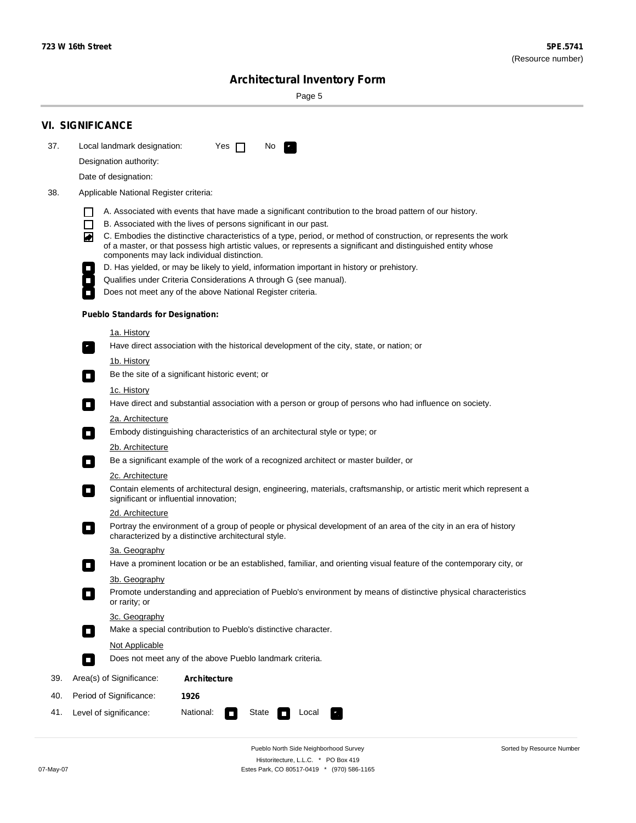÷

Sorted by Resource Number

# **Architectural Inventory Form**

Page 5

|     | <b>VI. SIGNIFICANCE</b>                                                                                                                                                                                                                                                                                                                                                                                                                |  |  |  |  |  |  |  |  |
|-----|----------------------------------------------------------------------------------------------------------------------------------------------------------------------------------------------------------------------------------------------------------------------------------------------------------------------------------------------------------------------------------------------------------------------------------------|--|--|--|--|--|--|--|--|
| 37. | Local landmark designation:<br>Yes $\Box$<br>No.                                                                                                                                                                                                                                                                                                                                                                                       |  |  |  |  |  |  |  |  |
|     | Designation authority:                                                                                                                                                                                                                                                                                                                                                                                                                 |  |  |  |  |  |  |  |  |
|     | Date of designation:                                                                                                                                                                                                                                                                                                                                                                                                                   |  |  |  |  |  |  |  |  |
| 38. | Applicable National Register criteria:                                                                                                                                                                                                                                                                                                                                                                                                 |  |  |  |  |  |  |  |  |
|     | A. Associated with events that have made a significant contribution to the broad pattern of our history.<br>l.<br>B. Associated with the lives of persons significant in our past.<br>$\Box$<br>C. Embodies the distinctive characteristics of a type, period, or method of construction, or represents the work<br>◙<br>of a master, or that possess high artistic values, or represents a significant and distinguished entity whose |  |  |  |  |  |  |  |  |
|     | components may lack individual distinction.<br>D. Has yielded, or may be likely to yield, information important in history or prehistory.                                                                                                                                                                                                                                                                                              |  |  |  |  |  |  |  |  |
|     | Qualifies under Criteria Considerations A through G (see manual).                                                                                                                                                                                                                                                                                                                                                                      |  |  |  |  |  |  |  |  |
|     | Does not meet any of the above National Register criteria.                                                                                                                                                                                                                                                                                                                                                                             |  |  |  |  |  |  |  |  |
|     | <b>Pueblo Standards for Designation:</b>                                                                                                                                                                                                                                                                                                                                                                                               |  |  |  |  |  |  |  |  |
|     | 1a. History                                                                                                                                                                                                                                                                                                                                                                                                                            |  |  |  |  |  |  |  |  |
|     | Have direct association with the historical development of the city, state, or nation; or                                                                                                                                                                                                                                                                                                                                              |  |  |  |  |  |  |  |  |
|     | <u>1b. History</u><br>Be the site of a significant historic event; or<br>$\mathcal{L}_{\mathcal{A}}$                                                                                                                                                                                                                                                                                                                                   |  |  |  |  |  |  |  |  |
|     | 1c. History<br>Have direct and substantial association with a person or group of persons who had influence on society.<br>$\blacksquare$                                                                                                                                                                                                                                                                                               |  |  |  |  |  |  |  |  |
|     | 2a. Architecture                                                                                                                                                                                                                                                                                                                                                                                                                       |  |  |  |  |  |  |  |  |
|     | Embody distinguishing characteristics of an architectural style or type; or<br>$\overline{\phantom{a}}$                                                                                                                                                                                                                                                                                                                                |  |  |  |  |  |  |  |  |
|     | 2b. Architecture                                                                                                                                                                                                                                                                                                                                                                                                                       |  |  |  |  |  |  |  |  |
|     | Be a significant example of the work of a recognized architect or master builder, or<br>$\sim$                                                                                                                                                                                                                                                                                                                                         |  |  |  |  |  |  |  |  |
|     | 2c. Architecture                                                                                                                                                                                                                                                                                                                                                                                                                       |  |  |  |  |  |  |  |  |
|     | Contain elements of architectural design, engineering, materials, craftsmanship, or artistic merit which represent a<br>О<br>significant or influential innovation;                                                                                                                                                                                                                                                                    |  |  |  |  |  |  |  |  |
|     | 2d. Architecture                                                                                                                                                                                                                                                                                                                                                                                                                       |  |  |  |  |  |  |  |  |
|     | Portray the environment of a group of people or physical development of an area of the city in an era of history<br>$\Box$<br>characterized by a distinctive architectural style.                                                                                                                                                                                                                                                      |  |  |  |  |  |  |  |  |
|     | 3a. Geography                                                                                                                                                                                                                                                                                                                                                                                                                          |  |  |  |  |  |  |  |  |
|     | Have a prominent location or be an established, familiar, and orienting visual feature of the contemporary city, or                                                                                                                                                                                                                                                                                                                    |  |  |  |  |  |  |  |  |
|     | 3b. Geography<br>Promote understanding and appreciation of Pueblo's environment by means of distinctive physical characteristics<br>or rarity; or                                                                                                                                                                                                                                                                                      |  |  |  |  |  |  |  |  |
|     | 3c. Geography<br>Make a special contribution to Pueblo's distinctive character.<br>$\mathcal{L}_{\mathcal{A}}$                                                                                                                                                                                                                                                                                                                         |  |  |  |  |  |  |  |  |
|     | Not Applicable                                                                                                                                                                                                                                                                                                                                                                                                                         |  |  |  |  |  |  |  |  |
|     | Does not meet any of the above Pueblo landmark criteria.<br>$\overline{\phantom{a}}$                                                                                                                                                                                                                                                                                                                                                   |  |  |  |  |  |  |  |  |
| 39. | Area(s) of Significance:<br><b>Architecture</b>                                                                                                                                                                                                                                                                                                                                                                                        |  |  |  |  |  |  |  |  |
| 40. | Period of Significance:<br>1926                                                                                                                                                                                                                                                                                                                                                                                                        |  |  |  |  |  |  |  |  |
| 41. | National:<br>Level of significance:<br>State<br>Local<br>т,<br>П                                                                                                                                                                                                                                                                                                                                                                       |  |  |  |  |  |  |  |  |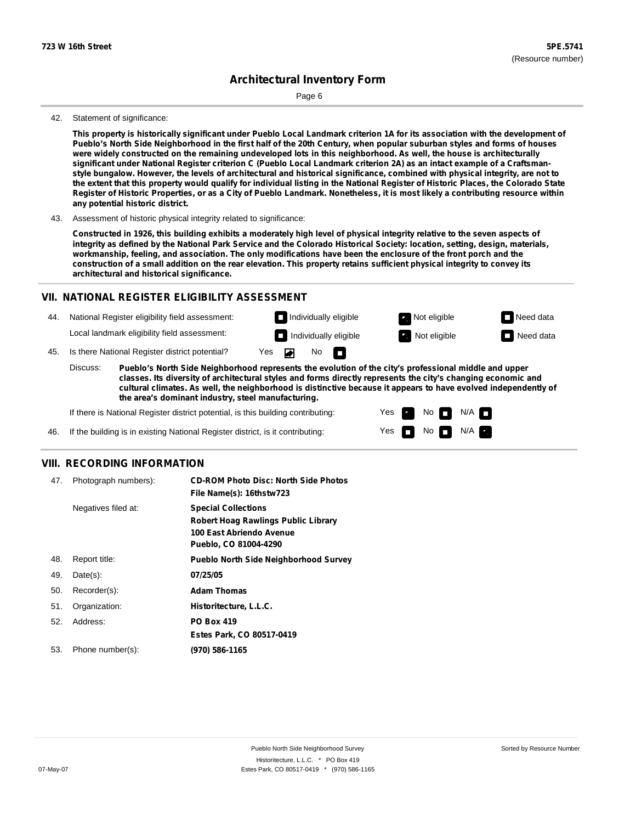Page 6

#### 42. Statement of significance:

This property is historically significant under Pueblo Local Landmark criterion 1A for its association with the development of Pueblo's North Side Neighborhood in the first half of the 20th Century, when popular suburban styles and forms of houses were widely constructed on the remaining undeveloped lots in this neighborhood. As well, the house is architecturally significant under National Register criterion C (Pueblo Local Landmark criterion 2A) as an intact example of a Craftsmanstyle bungalow. However, the levels of architectural and historical significance, combined with physical integrity, are not to the extent that this property would qualify for individual listing in the National Register of Historic Places, the Colorado State Register of Historic Properties, or as a City of Pueblo Landmark. Nonetheless, it is most likely a contributing resource within **any potential historic district.**

43. Assessment of historic physical integrity related to significance:

Constructed in 1926, this building exhibits a moderately high level of physical integrity relative to the seven aspects of integrity as defined by the National Park Service and the Colorado Historical Society: location, setting, design, materials, workmanship, feeling, and association. The only modifications have been the enclosure of the front porch and the construction of a small addition on the rear elevation. This property retains sufficient physical integrity to convey its **architectural and historical significance.**

#### **VII. NATIONAL REGISTER ELIGIBILITY ASSESSMENT**

44. National Register eligibility field assessment: Local landmark eligibility field assessment:

45. Is there National Register district potential? Yes

**Pueblo's North Side Neighborhood represents the evolution of the city's professional middle and upper classes. Its diversity of architectural styles and forms directly represents the city's changing economic and cultural climates. As well, the neighborhood is distinctive because it appears to have evolved independently of the area's dominant industry, steel manufacturing.** Discuss:

No

m

Yes Yes No

**Individually eligible Not eligible** Not eligible **Need data Individually eligible Not eligible** Not eligible **Need data** 

 $No$   $\neg$   $N/A$ 

 $N/A$ 

If there is National Register district potential, is this building contributing:

If the building is in existing National Register district, is it contributing: 46.

#### **VIII. RECORDING INFORMATION**

| 47. | Photograph numbers): | <b>CD-ROM Photo Disc: North Side Photos</b><br>File Name(s): 16thstw723                                                       |
|-----|----------------------|-------------------------------------------------------------------------------------------------------------------------------|
|     | Negatives filed at:  | <b>Special Collections</b><br><b>Robert Hoag Rawlings Public Library</b><br>100 East Abriendo Avenue<br>Pueblo, CO 81004-4290 |
| 48. | Report title:        | <b>Pueblo North Side Neighborhood Survey</b>                                                                                  |
| 49. | $Date(s)$ :          | 07/25/05                                                                                                                      |
| 50. | Recorder(s):         | <b>Adam Thomas</b>                                                                                                            |
| 51. | Organization:        | Historitecture, L.L.C.                                                                                                        |
| 52. | Address:             | <b>PO Box 419</b>                                                                                                             |
|     |                      | Estes Park, CO 80517-0419                                                                                                     |
| 53. | Phone number(s):     | (970) 586-1165                                                                                                                |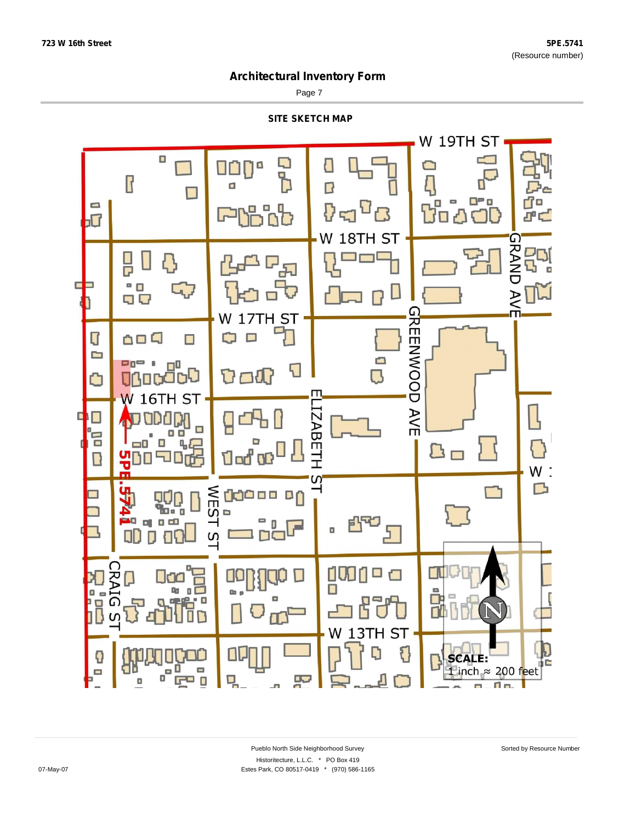Page 7